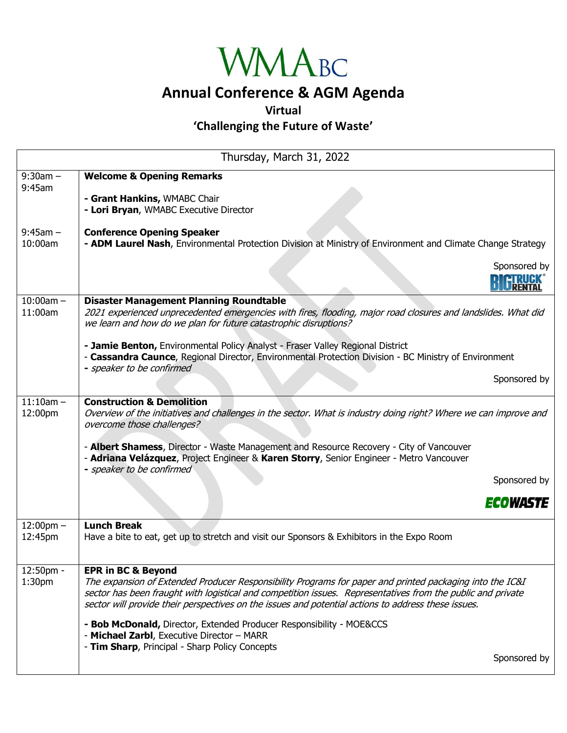

## **Annual Conference & AGM Agenda**

**Virtual**

**'Challenging the Future of Waste'**

| Thursday, March 31, 2022        |                                                                                                                                                                                                                                                                                                                                                                 |  |
|---------------------------------|-----------------------------------------------------------------------------------------------------------------------------------------------------------------------------------------------------------------------------------------------------------------------------------------------------------------------------------------------------------------|--|
| $9:30am -$<br>9:45am            | <b>Welcome &amp; Opening Remarks</b><br>- Grant Hankins, WMABC Chair<br>- Lori Bryan, WMABC Executive Director                                                                                                                                                                                                                                                  |  |
| $9:45am -$<br>10:00am           | <b>Conference Opening Speaker</b><br>- ADM Laurel Nash, Environmental Protection Division at Ministry of Environment and Climate Change Strategy                                                                                                                                                                                                                |  |
|                                 | Sponsored by                                                                                                                                                                                                                                                                                                                                                    |  |
| $10:00am -$<br>11:00am          | <b>Disaster Management Planning Roundtable</b><br>2021 experienced unprecedented emergencies with fires, flooding, major road closures and landslides. What did<br>we learn and how do we plan for future catastrophic disruptions?                                                                                                                             |  |
|                                 | - Jamie Benton, Environmental Policy Analyst - Fraser Valley Regional District<br>- Cassandra Caunce, Regional Director, Environmental Protection Division - BC Ministry of Environment<br>- speaker to be confirmed                                                                                                                                            |  |
|                                 | Sponsored by                                                                                                                                                                                                                                                                                                                                                    |  |
| $11:10am -$<br>12:00pm          | <b>Construction &amp; Demolition</b><br>Overview of the initiatives and challenges in the sector. What is industry doing right? Where we can improve and<br>overcome those challenges?                                                                                                                                                                          |  |
|                                 | - Albert Shamess, Director - Waste Management and Resource Recovery - City of Vancouver<br>- Adriana Velázquez, Project Engineer & Karen Storry, Senior Engineer - Metro Vancouver<br>- speaker to be confirmed                                                                                                                                                 |  |
|                                 | Sponsored by                                                                                                                                                                                                                                                                                                                                                    |  |
|                                 | <i><b>ECOWASTE</b></i>                                                                                                                                                                                                                                                                                                                                          |  |
| $12:00$ pm $-$<br>12:45pm       | <b>Lunch Break</b><br>Have a bite to eat, get up to stretch and visit our Sponsors & Exhibitors in the Expo Room                                                                                                                                                                                                                                                |  |
| 12:50pm -<br>1:30 <sub>pm</sub> | <b>EPR in BC &amp; Beyond</b><br>The expansion of Extended Producer Responsibility Programs for paper and printed packaging into the IC&I<br>sector has been fraught with logistical and competition issues. Representatives from the public and private<br>sector will provide their perspectives on the issues and potential actions to address these issues. |  |
|                                 | - Bob McDonald, Director, Extended Producer Responsibility - MOE&CCS<br>- Michael Zarbl, Executive Director - MARR                                                                                                                                                                                                                                              |  |
|                                 | - Tim Sharp, Principal - Sharp Policy Concepts<br>Sponsored by                                                                                                                                                                                                                                                                                                  |  |